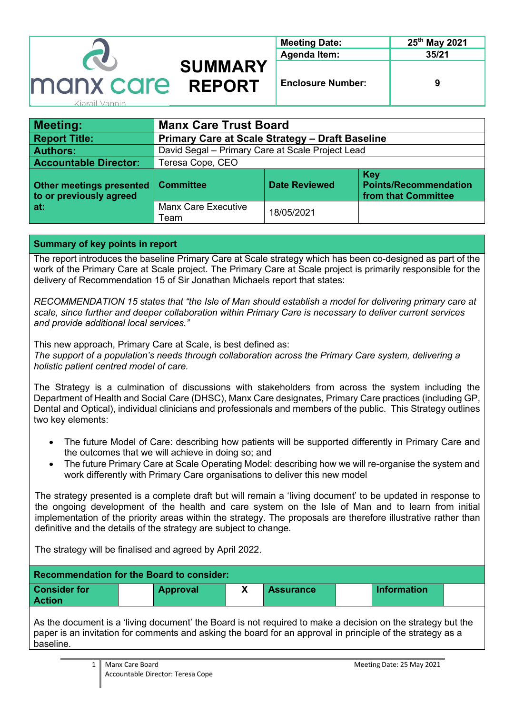|                |                | <b>Meeting Date:</b>     | 25 <sup>th</sup> May 2021 |
|----------------|----------------|--------------------------|---------------------------|
| <b>CO</b>      |                | <b>Agenda Item:</b>      | 35/21                     |
|                | <b>SUMMARY</b> |                          |                           |
| manx care      | <b>REPORT</b>  | <b>Enclosure Number:</b> | 9                         |
| Kiarail Vannin |                |                          |                           |

| <b>Meeting:</b>                                                   | <b>Manx Care Trust Board</b>                           |                      |                                                                   |  |
|-------------------------------------------------------------------|--------------------------------------------------------|----------------------|-------------------------------------------------------------------|--|
| <b>Report Title:</b>                                              | <b>Primary Care at Scale Strategy - Draft Baseline</b> |                      |                                                                   |  |
| <b>Authors:</b>                                                   | David Segal - Primary Care at Scale Project Lead       |                      |                                                                   |  |
| <b>Accountable Director:</b>                                      | Teresa Cope, CEO                                       |                      |                                                                   |  |
| <b>Other meetings presented</b><br>to or previously agreed<br>at: | <b>Committee</b>                                       | <b>Date Reviewed</b> | <b>Key</b><br><b>Points/Recommendation</b><br>from that Committee |  |
|                                                                   | <b>Manx Care Executive</b><br>Team                     | 18/05/2021           |                                                                   |  |

### **Summary of key points in report**

The report introduces the baseline Primary Care at Scale strategy which has been co-designed as part of the work of the Primary Care at Scale project. The Primary Care at Scale project is primarily responsible for the delivery of Recommendation 15 of Sir Jonathan Michaels report that states:

*RECOMMENDATION 15 states that "the Isle of Man should establish a model for delivering primary care at scale, since further and deeper collaboration within Primary Care is necessary to deliver current services and provide additional local services."* 

This new approach, Primary Care at Scale, is best defined as: *The support of a population's needs through collaboration across the Primary Care system, delivering a holistic patient centred model of care.*

The Strategy is a culmination of discussions with stakeholders from across the system including the Department of Health and Social Care (DHSC), Manx Care designates, Primary Care practices (including GP, Dental and Optical), individual clinicians and professionals and members of the public. This Strategy outlines two key elements:

- The future Model of Care: describing how patients will be supported differently in Primary Care and the outcomes that we will achieve in doing so; and
- The future Primary Care at Scale Operating Model: describing how we will re-organise the system and work differently with Primary Care organisations to deliver this new model

The strategy presented is a complete draft but will remain a 'living document' to be updated in response to the ongoing development of the health and care system on the Isle of Man and to learn from initial implementation of the priority areas within the strategy. The proposals are therefore illustrative rather than definitive and the details of the strategy are subject to change.

The strategy will be finalised and agreed by April 2022.

| <b>Approval</b> | <b>Assurance</b> | <b>Information</b> |
|-----------------|------------------|--------------------|
|                 |                  |                    |

As the document is a 'living document' the Board is not required to make a decision on the strategy but the paper is an invitation for comments and asking the board for an approval in principle of the strategy as a baseline.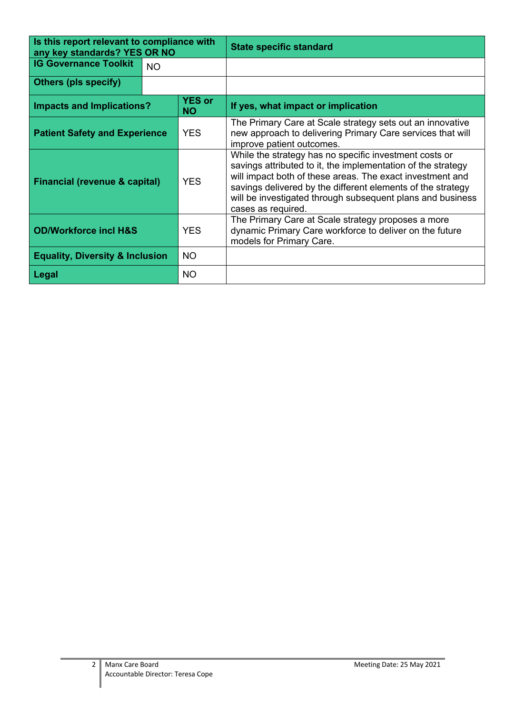| Is this report relevant to compliance with<br>any key standards? YES OR NO |           |            | <b>State specific standard</b>                                                                                                                                                                                                                                                                                                         |  |
|----------------------------------------------------------------------------|-----------|------------|----------------------------------------------------------------------------------------------------------------------------------------------------------------------------------------------------------------------------------------------------------------------------------------------------------------------------------------|--|
| <b>IG Governance Toolkit</b>                                               | <b>NO</b> |            |                                                                                                                                                                                                                                                                                                                                        |  |
| <b>Others (pls specify)</b>                                                |           |            |                                                                                                                                                                                                                                                                                                                                        |  |
| <b>YES or</b><br><b>Impacts and Implications?</b><br><b>NO</b>             |           |            | If yes, what impact or implication                                                                                                                                                                                                                                                                                                     |  |
| <b>Patient Safety and Experience</b>                                       |           | <b>YES</b> | The Primary Care at Scale strategy sets out an innovative<br>new approach to delivering Primary Care services that will<br>improve patient outcomes.                                                                                                                                                                                   |  |
| <b>YES</b><br><b>Financial (revenue &amp; capital)</b>                     |           |            | While the strategy has no specific investment costs or<br>savings attributed to it, the implementation of the strategy<br>will impact both of these areas. The exact investment and<br>savings delivered by the different elements of the strategy<br>will be investigated through subsequent plans and business<br>cases as required. |  |
| <b>OD/Workforce incl H&amp;S</b>                                           |           | <b>YES</b> | The Primary Care at Scale strategy proposes a more<br>dynamic Primary Care workforce to deliver on the future<br>models for Primary Care.                                                                                                                                                                                              |  |
| <b>Equality, Diversity &amp; Inclusion</b>                                 |           | <b>NO</b>  |                                                                                                                                                                                                                                                                                                                                        |  |
| Legal                                                                      |           | <b>NO</b>  |                                                                                                                                                                                                                                                                                                                                        |  |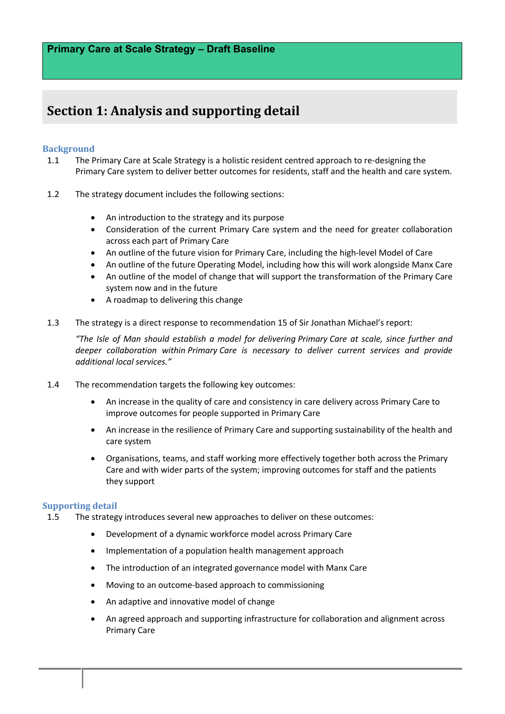## **Section 1: Analysis and supporting detail**

### **Background**

- 1.1 The Primary Care at Scale Strategy is a holistic resident centred approach to re-designing the Primary Care system to deliver better outcomes for residents, staff and the health and care system.
- 1.2 The strategy document includes the following sections:
	- An introduction to the strategy and its purpose
	- Consideration of the current Primary Care system and the need for greater collaboration across each part of Primary Care
	- An outline of the future vision for Primary Care, including the high-level Model of Care
	- An outline of the future Operating Model, including how this will work alongside Manx Care
	- An outline of the model of change that will support the transformation of the Primary Care system now and in the future
	- A roadmap to delivering this change
- 1.3 The strategy is a direct response to recommendation 15 of Sir Jonathan Michael's report:

*"The Isle of Man should establish a model for delivering Primary Care at scale, since further and deeper collaboration within Primary Care is necessary to deliver current services and provide additional local services."*

- 1.4 The recommendation targets the following key outcomes:
	- An increase in the quality of care and consistency in care delivery across Primary Care to improve outcomes for people supported in Primary Care
	- An increase in the resilience of Primary Care and supporting sustainability of the health and care system
	- Organisations, teams, and staff working more effectively together both across the Primary Care and with wider parts of the system; improving outcomes for staff and the patients they support

### **Supporting detail**

1.5 The strategy introduces several new approaches to deliver on these outcomes:

- Development of a dynamic workforce model across Primary Care
- Implementation of a population health management approach
- The introduction of an integrated governance model with Manx Care
- Moving to an outcome-based approach to commissioning
- An adaptive and innovative model of change
- An agreed approach and supporting infrastructure for collaboration and alignment across Primary Care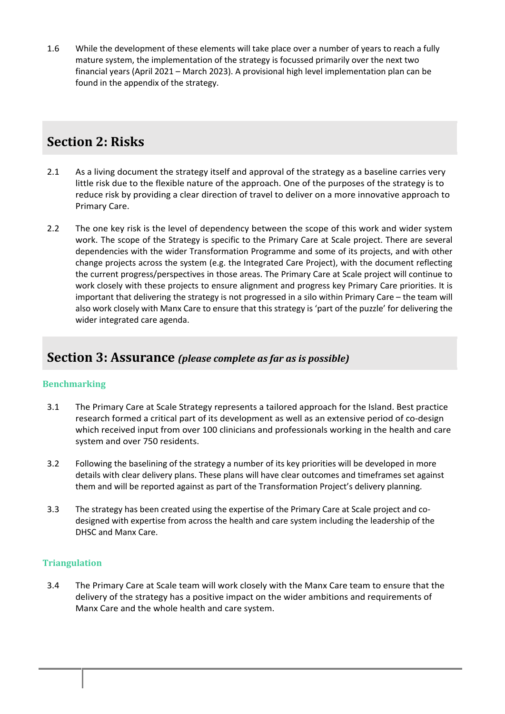1.6 While the development of these elements will take place over a number of years to reach a fully mature system, the implementation of the strategy is focussed primarily over the next two financial years (April 2021 – March 2023). A provisional high level implementation plan can be found in the appendix of the strategy.

# **Section 2: Risks**

- 2.1 As a living document the strategy itself and approval of the strategy as a baseline carries very little risk due to the flexible nature of the approach. One of the purposes of the strategy is to reduce risk by providing a clear direction of travel to deliver on a more innovative approach to Primary Care.
- 2.2 The one key risk is the level of dependency between the scope of this work and wider system work. The scope of the Strategy is specific to the Primary Care at Scale project. There are several dependencies with the wider Transformation Programme and some of its projects, and with other change projects across the system (e.g. the Integrated Care Project), with the document reflecting the current progress/perspectives in those areas. The Primary Care at Scale project will continue to work closely with these projects to ensure alignment and progress key Primary Care priorities. It is important that delivering the strategy is not progressed in a silo within Primary Care – the team will also work closely with Manx Care to ensure that this strategy is 'part of the puzzle' for delivering the wider integrated care agenda.

### **Section 3: Assurance** (please complete as far as is possible)

### **Benchmarking**

- 3.1 The Primary Care at Scale Strategy represents a tailored approach for the Island. Best practice research formed a critical part of its development as well as an extensive period of co-design which received input from over 100 clinicians and professionals working in the health and care system and over 750 residents.
- 3.2 Following the baselining of the strategy a number of its key priorities will be developed in more details with clear delivery plans. These plans will have clear outcomes and timeframes set against them and will be reported against as part of the Transformation Project's delivery planning.
- 3.3 The strategy has been created using the expertise of the Primary Care at Scale project and codesigned with expertise from across the health and care system including the leadership of the DHSC and Manx Care.

### **Triangulation**

3.4 The Primary Care at Scale team will work closely with the Manx Care team to ensure that the delivery of the strategy has a positive impact on the wider ambitions and requirements of Manx Care and the whole health and care system.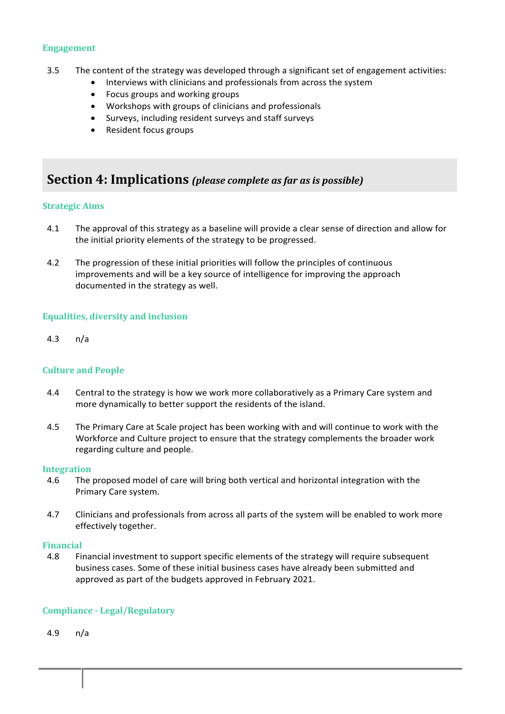### **Engagement**

- 3.5 The content of the strategy was developed through a significant set of engagement activities:
	- Interviews with clinicians and professionals from across the system
	- Focus groups and working groups
	- Workshops with groups of clinicians and professionals
	- Surveys, including resident surveys and staff surveys
	- Resident focus groups

### **Section 4: Implications** (please complete as far as is possible)

### **Strategic Aims**

- 4.1 The approval of this strategy as a baseline will provide a clear sense of direction and allow for the initial priority elements of the strategy to be progressed.
- 4.2 The progression of these initial priorities will follow the principles of continuous improvements and will be a key source of intelligence for improving the approach documented in the strategy as well.

### **Equalities, diversity and inclusion**

4.3 n/a

### **Culture and People**

- 4.4 Central to the strategy is how we work more collaboratively as a Primary Care system and more dynamically to better support the residents of the island.
- 4.5 The Primary Care at Scale project has been working with and will continue to work with the Workforce and Culture project to ensure that the strategy complements the broader work regarding culture and people.

### **Integration**

- 4.6 The proposed model of care will bring both vertical and horizontal integration with the Primary Care system.
- 4.7 Clinicians and professionals from across all parts of the system will be enabled to work more effectively together.

### **Financial**

4.8 Financial investment to support specific elements of the strategy will require subsequent business cases. Some of these initial business cases have already been submitted and approved as part of the budgets approved in February 2021.

### **Compliance - Legal/Regulatory**

4.9 n/a